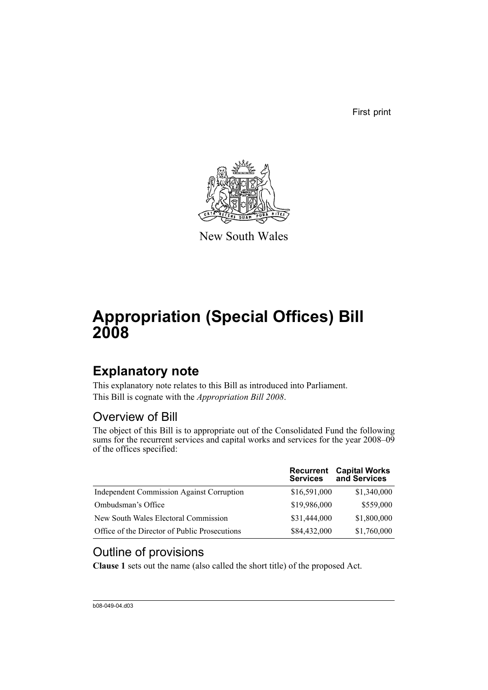First print



New South Wales

# **Appropriation (Special Offices) Bill 2008**

## **Explanatory note**

This explanatory note relates to this Bill as introduced into Parliament. This Bill is cognate with the *Appropriation Bill 2008*.

## Overview of Bill

The object of this Bill is to appropriate out of the Consolidated Fund the following sums for the recurrent services and capital works and services for the year 2008–09 of the offices specified:

|                                                  | <b>Recurrent</b><br><b>Services</b> | <b>Capital Works</b><br>and Services |
|--------------------------------------------------|-------------------------------------|--------------------------------------|
| <b>Independent Commission Against Corruption</b> | \$16,591,000                        | \$1,340,000                          |
| Ombudsman's Office                               | \$19,986,000                        | \$559,000                            |
| New South Wales Electoral Commission             | \$31,444,000                        | \$1,800,000                          |
| Office of the Director of Public Prosecutions    | \$84,432,000                        | \$1,760,000                          |

## Outline of provisions

**Clause 1** sets out the name (also called the short title) of the proposed Act.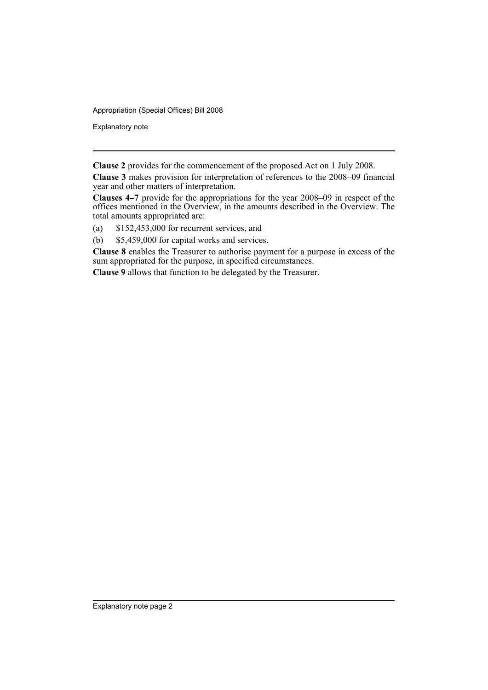Appropriation (Special Offices) Bill 2008

Explanatory note

**Clause 2** provides for the commencement of the proposed Act on 1 July 2008.

**Clause 3** makes provision for interpretation of references to the 2008–09 financial year and other matters of interpretation.

**Clauses 4–7** provide for the appropriations for the year 2008–09 in respect of the offices mentioned in the Overview, in the amounts described in the Overview. The total amounts appropriated are:

- (a) \$152,453,000 for recurrent services, and
- (b) \$5,459,000 for capital works and services.

**Clause 8** enables the Treasurer to authorise payment for a purpose in excess of the sum appropriated for the purpose, in specified circumstances.

**Clause 9** allows that function to be delegated by the Treasurer.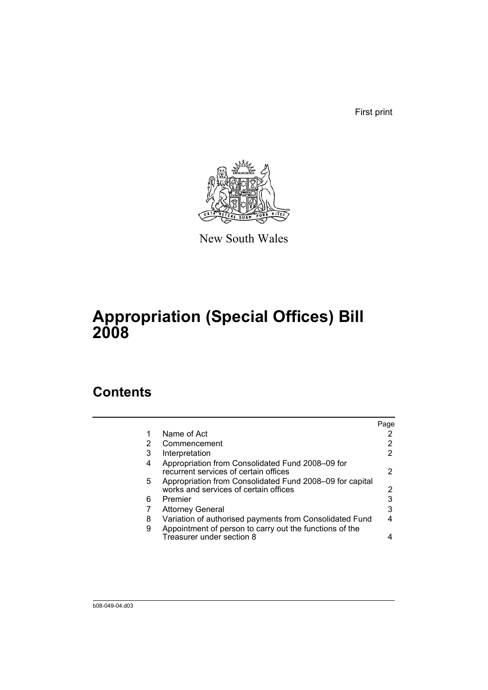First print



New South Wales

# **Appropriation (Special Offices) Bill 2008**

## **Contents**

|        |                                                                                                                    | Page |
|--------|--------------------------------------------------------------------------------------------------------------------|------|
|        | Name of Act                                                                                                        |      |
| 2      | Commencement                                                                                                       | 2    |
| 3      | Interpretation                                                                                                     | 2    |
| 4      | Appropriation from Consolidated Fund 2008–09 for<br>recurrent services of certain offices                          | 2    |
| 5      | Appropriation from Consolidated Fund 2008–09 for capital<br>works and services of certain offices                  | 2    |
| 6      | Premier                                                                                                            | 3    |
|        | <b>Attorney General</b>                                                                                            | 3    |
| 8<br>9 | Variation of authorised payments from Consolidated Fund<br>Appointment of person to carry out the functions of the |      |
|        | Treasurer under section 8                                                                                          |      |
|        |                                                                                                                    |      |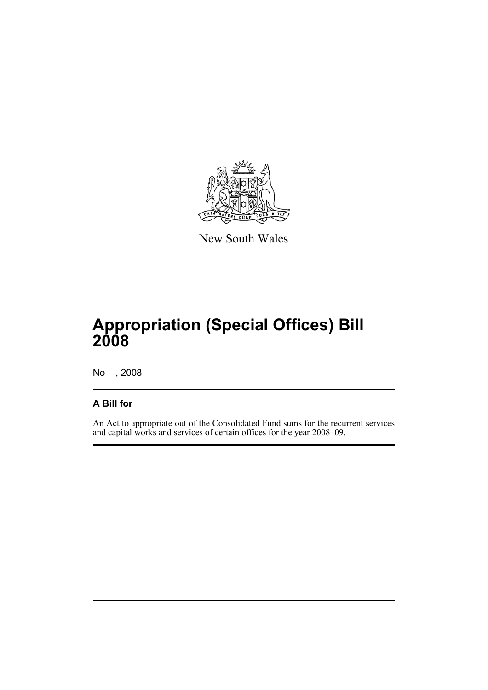

New South Wales

# **Appropriation (Special Offices) Bill 2008**

No , 2008

## **A Bill for**

An Act to appropriate out of the Consolidated Fund sums for the recurrent services and capital works and services of certain offices for the year 2008–09.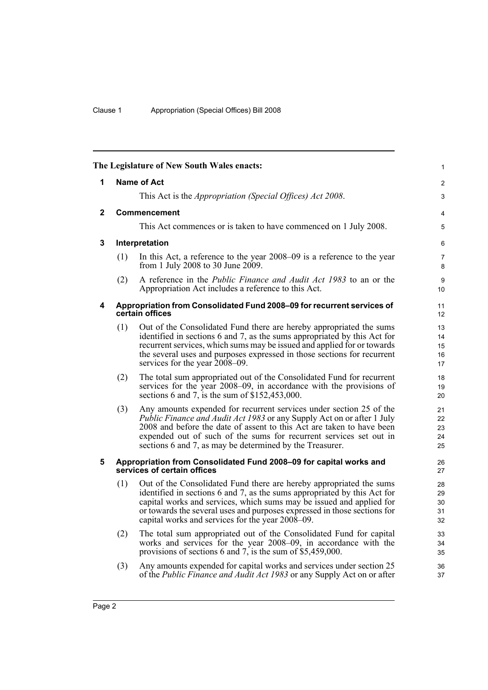|                |     | The Legislature of New South Wales enacts:                                                                                                                                                                                                                                                                                                                      | $\mathbf{1}$               |
|----------------|-----|-----------------------------------------------------------------------------------------------------------------------------------------------------------------------------------------------------------------------------------------------------------------------------------------------------------------------------------------------------------------|----------------------------|
| 1              |     | <b>Name of Act</b>                                                                                                                                                                                                                                                                                                                                              | $\overline{2}$             |
|                |     | This Act is the <i>Appropriation (Special Offices) Act 2008</i> .                                                                                                                                                                                                                                                                                               | 3                          |
| $\overline{2}$ |     | <b>Commencement</b>                                                                                                                                                                                                                                                                                                                                             | 4                          |
|                |     | This Act commences or is taken to have commenced on 1 July 2008.                                                                                                                                                                                                                                                                                                | 5                          |
| 3              |     | Interpretation                                                                                                                                                                                                                                                                                                                                                  | 6                          |
|                | (1) | In this Act, a reference to the year 2008–09 is a reference to the year<br>from 1 July 2008 to 30 June 2009.                                                                                                                                                                                                                                                    | 7<br>8                     |
|                | (2) | A reference in the <i>Public Finance and Audit Act 1983</i> to an or the<br>Appropriation Act includes a reference to this Act.                                                                                                                                                                                                                                 | 9<br>10 <sup>°</sup>       |
| 4              |     | Appropriation from Consolidated Fund 2008-09 for recurrent services of<br>certain offices                                                                                                                                                                                                                                                                       | 11<br>12 <sup>2</sup>      |
|                | (1) | Out of the Consolidated Fund there are hereby appropriated the sums<br>identified in sections 6 and 7, as the sums appropriated by this Act for<br>recurrent services, which sums may be issued and applied for or towards<br>the several uses and purposes expressed in those sections for recurrent<br>services for the year 2008–09.                         | 13<br>14<br>15<br>16<br>17 |
|                | (2) | The total sum appropriated out of the Consolidated Fund for recurrent<br>services for the year 2008–09, in accordance with the provisions of<br>sections 6 and 7, is the sum of $$152,453,000$ .                                                                                                                                                                | 18<br>19<br>20             |
|                | (3) | Any amounts expended for recurrent services under section 25 of the<br><i>Public Finance and Audit Act 1983</i> or any Supply Act on or after 1 July<br>2008 and before the date of assent to this Act are taken to have been<br>expended out of such of the sums for recurrent services set out in<br>sections 6 and 7, as may be determined by the Treasurer. | 21<br>22<br>23<br>24<br>25 |
| 5              |     | Appropriation from Consolidated Fund 2008-09 for capital works and<br>services of certain offices                                                                                                                                                                                                                                                               | 26<br>27                   |
|                | (1) | Out of the Consolidated Fund there are hereby appropriated the sums<br>identified in sections 6 and 7, as the sums appropriated by this Act for<br>capital works and services, which sums may be issued and applied for<br>or towards the several uses and purposes expressed in those sections for<br>capital works and services for the year 2008–09.         | 28<br>29<br>30<br>31<br>32 |
|                | (2) | The total sum appropriated out of the Consolidated Fund for capital<br>works and services for the year 2008–09, in accordance with the<br>provisions of sections 6 and 7, is the sum of \$5,459,000.                                                                                                                                                            | 33<br>34<br>35             |
|                | (3) | Any amounts expended for capital works and services under section 25<br>of the <i>Public Finance and Audit Act 1983</i> or any Supply Act on or after                                                                                                                                                                                                           | 36<br>37                   |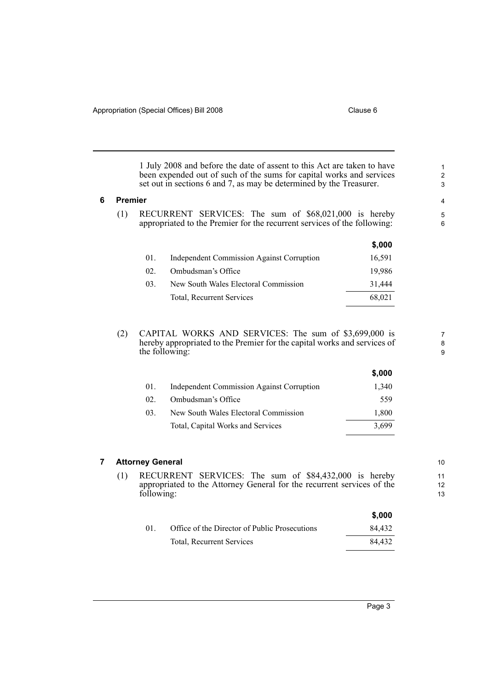1 July 2008 and before the date of assent to this Act are taken to have been expended out of such of the sums for capital works and services set out in sections 6 and 7, as may be determined by the Treasurer.

#### **6 Premier**

(1) RECURRENT SERVICES: The sum of \$68,021,000 is hereby appropriated to the Premier for the recurrent services of the following:

|     |                                                  | \$,000 |
|-----|--------------------------------------------------|--------|
| 01. | <b>Independent Commission Against Corruption</b> | 16,591 |
| 02  | Ombudsman's Office                               | 19.986 |
| 03. | New South Wales Electoral Commission             | 31,444 |
|     | Total, Recurrent Services                        | 68,021 |
|     |                                                  |        |

(2) CAPITAL WORKS AND SERVICES: The sum of \$3,699,000 is hereby appropriated to the Premier for the capital works and services of the following:

|                 |                                                  | v.vvv |
|-----------------|--------------------------------------------------|-------|
| 01.             | <b>Independent Commission Against Corruption</b> | 1.340 |
| 02 <sup>2</sup> | Ombudsman's Office                               | 559   |
| 03.             | New South Wales Electoral Commission             | 1,800 |
|                 | Total, Capital Works and Services                | 3.699 |
|                 |                                                  |       |

### **7 Attorney General**

(1) RECURRENT SERVICES: The sum of \$84,432,000 is hereby appropriated to the Attorney General for the recurrent services of the following:

|    |                                               | \$.000 |
|----|-----------------------------------------------|--------|
| 01 | Office of the Director of Public Prosecutions | 84.432 |
|    | Total, Recurrent Services                     | 84.432 |

**\$,000**

10

7 8 9

11

12 13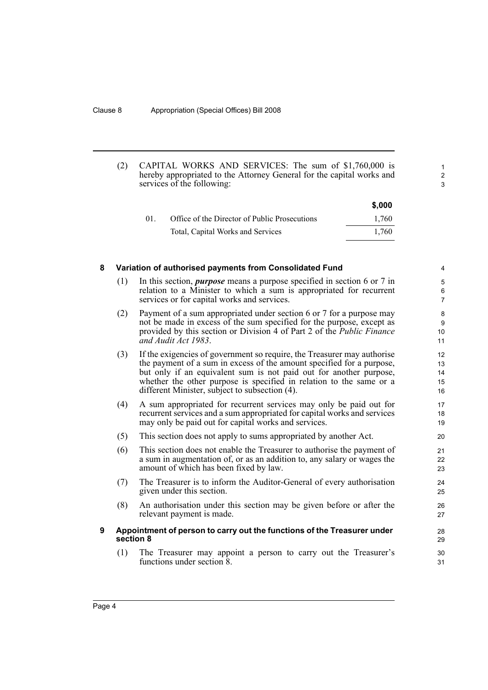(2) CAPITAL WORKS AND SERVICES: The sum of \$1,760,000 is hereby appropriated to the Attorney General for the capital works and services of the following:

|        |                                               | \$,000 |
|--------|-----------------------------------------------|--------|
| $01$ . | Office of the Director of Public Prosecutions | 1.760  |
|        | Total, Capital Works and Services             | 1.760  |

1 2 3

## **8 Variation of authorised payments from Consolidated Fund**

- (1) In this section, *purpose* means a purpose specified in section 6 or 7 in relation to a Minister to which a sum is appropriated for recurrent services or for capital works and services.
- (2) Payment of a sum appropriated under section 6 or 7 for a purpose may not be made in excess of the sum specified for the purpose, except as provided by this section or Division 4 of Part 2 of the *Public Finance and Audit Act 1983*.
- (3) If the exigencies of government so require, the Treasurer may authorise the payment of a sum in excess of the amount specified for a purpose, but only if an equivalent sum is not paid out for another purpose, whether the other purpose is specified in relation to the same or a different Minister, subject to subsection (4).
- (4) A sum appropriated for recurrent services may only be paid out for recurrent services and a sum appropriated for capital works and services may only be paid out for capital works and services.
- (5) This section does not apply to sums appropriated by another Act.
- (6) This section does not enable the Treasurer to authorise the payment of a sum in augmentation of, or as an addition to, any salary or wages the amount of which has been fixed by law.
- (7) The Treasurer is to inform the Auditor-General of every authorisation given under this section.
- (8) An authorisation under this section may be given before or after the relevant payment is made.

## **9 Appointment of person to carry out the functions of the Treasurer under section 8**

(1) The Treasurer may appoint a person to carry out the Treasurer's functions under section 8.